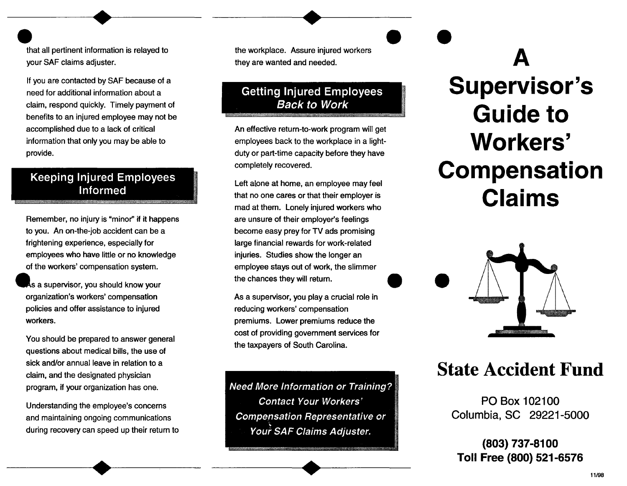that all pertinent information is relayed to your SAF claims adjuster.

If you are contacted by SAF because of a need for additional information about a claim, respond quickly. Timely payment of benefits to an injured employee may not be accomplished due to a lack of critical information that only you may be able to provide. New Your SAF claims adjuster.<br>
If you are contacted by SAF because of a<br>
meet for additional information about a<br>
claim, respond quickly. Timely payment of<br>
benefits to an injured employee may not be<br>
accomplished due to a

### Informed

Remember, no injury is "minor" if it happens to you. An on-the-job accident can be a frightening experience, especially for employees who have little or no knowledge of the workers' compensation system.

As a supervisor, you should know your organization's workers' compensation policies and offer assistance to injured workers.

You should be prepared to answer general questions about medical bills, the use of sick and/or annual leave in relation to a claim, and the designated physician program, if your organization has one.

Understanding the employee's concerns and maintaining ongoing communications during recovery can speed up their return to the workplace. Assure injured workers they are wanted and needed.

An effective return-to-work program will get employees back to the workplace in a lightduty or part-time capacity before they have completely recovered.

Left alone at home, an employee may feel that no one cares or that their employer is mad at them. Lonely injured workers who are unsure of their employer's feelings become easy prey for TV ads promising large financial rewards for work-related injuries. Studies show the longer an employee stays out of work, the slimmer<br>the chances they will return.

As a supervisor, you play a crucial role in reducing workers' compensation premiums. Lower premiums reduce the cost of providing government services for the taxpayers of South Carolina.

Need More Information or Training? Contact Your Workers' Compensation Representative or Your SAF Claims Adjuster.

## **A Supervisor's Guide to Workers' Compensation Claims**



### **State Accident Fund**

PO Box 102100 Columbia, SC 29221-5000

**(803) 737-8100 Toll Free (800) 521-6576**